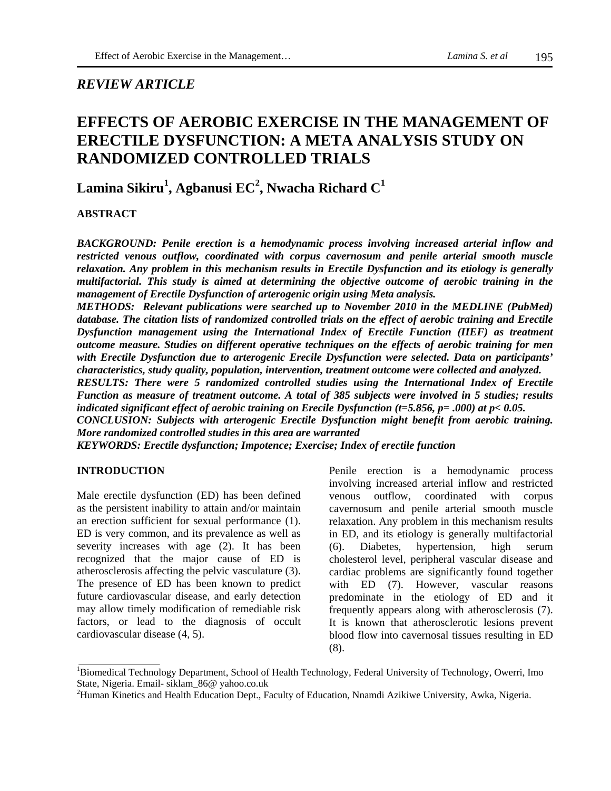## *REVIEW ARTICLE*

# **EFFECTS OF AEROBIC EXERCISE IN THE MANAGEMENT OF ERECTILE DYSFUNCTION: A META ANALYSIS STUDY ON RANDOMIZED CONTROLLED TRIALS**

**Lamina Sikiru<sup>1</sup> , Agbanusi EC<sup>2</sup> , Nwacha Richard C<sup>1</sup>** 

## **ABSTRACT**

*BACKGROUND: Penile erection is a hemodynamic process involving increased arterial inflow and restricted venous outflow, coordinated with corpus cavernosum and penile arterial smooth muscle relaxation. Any problem in this mechanism results in Erectile Dysfunction and its etiology is generally multifactorial. This study is aimed at determining the objective outcome of aerobic training in the management of Erectile Dysfunction of arterogenic origin using Meta analysis.* 

*METHODS: Relevant publications were searched up to November 2010 in the MEDLINE (PubMed) database. The citation lists of randomized controlled trials on the effect of aerobic training and Erectile Dysfunction management using the International Index of Erectile Function (IIEF) as treatment outcome measure. Studies on different operative techniques on the effects of aerobic training for men with Erectile Dysfunction due to arterogenic Erecile Dysfunction were selected. Data on participants' characteristics, study quality, population, intervention, treatment outcome were collected and analyzed.* 

*RESULTS: There were 5 randomized controlled studies using the International Index of Erectile Function as measure of treatment outcome. A total of 385 subjects were involved in 5 studies; results indicated significant effect of aerobic training on Erecile Dysfunction (t=5.856, p= .000) at p< 0.05.* 

*CONCLUSION: Subjects with arterogenic Erectile Dysfunction might benefit from aerobic training. More randomized controlled studies in this area are warranted* 

*KEYWORDS: Erectile dysfunction; Impotence; Exercise; Index of erectile function* 

#### **INTRODUCTION**

Male erectile dysfunction (ED) has been defined as the persistent inability to attain and/or maintain an erection sufficient for sexual performance (1). ED is very common, and its prevalence as well as severity increases with age (2). It has been recognized that the major cause of ED is atherosclerosis affecting the pelvic vasculature (3). The presence of ED has been known to predict future cardiovascular disease, and early detection may allow timely modification of remediable risk factors, or lead to the diagnosis of occult cardiovascular disease (4, 5).

Penile erection is a hemodynamic process involving increased arterial inflow and restricted venous outflow, coordinated with corpus cavernosum and penile arterial smooth muscle relaxation. Any problem in this mechanism results in ED, and its etiology is generally multifactorial (6). Diabetes, hypertension, high serum cholesterol level, peripheral vascular disease and cardiac problems are significantly found together with ED (7). However, vascular reasons predominate in the etiology of ED and it frequently appears along with atherosclerosis (7). It is known that atherosclerotic lesions prevent blood flow into cavernosal tissues resulting in ED (8).

<sup>&</sup>lt;sup>1</sup>Biomedical Technology Department, School of Health Technology, Federal University of Technology, Owerri, Imo State, Nigeria. Email- siklam\_86@ yahoo.co.uk

<sup>&</sup>lt;sup>2</sup>Human Kinetics and Health Education Dept., Faculty of Education, Nnamdi Azikiwe University, Awka, Nigeria.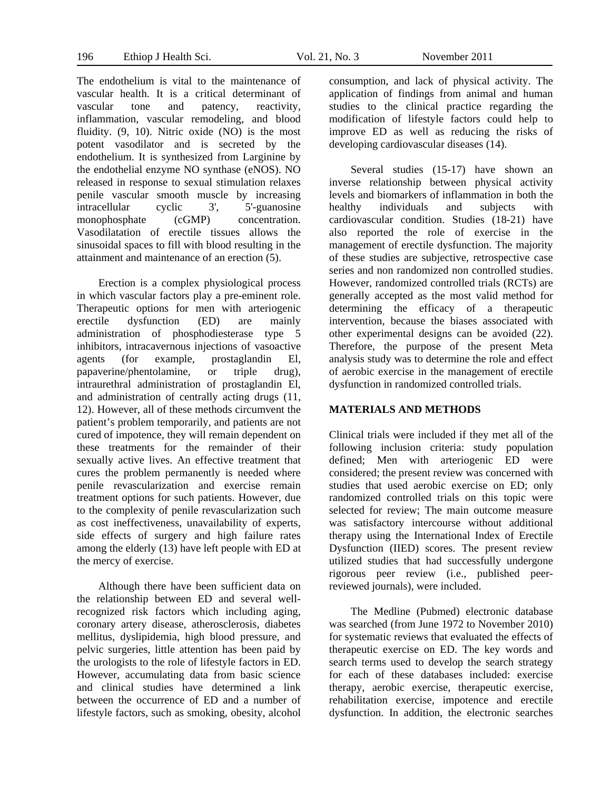The endothelium is vital to the maintenance of vascular health. It is a critical determinant of vascular tone and patency, reactivity, inflammation, vascular remodeling, and blood fluidity. (9, 10). Nitric oxide (NO) is the most potent vasodilator and is secreted by the endothelium. It is synthesized from Larginine by the endothelial enzyme NO synthase (eNOS). NO released in response to sexual stimulation relaxes penile vascular smooth muscle by increasing intracellular cyclic 3', 5'-guanosine monophosphate (cGMP) concentration. Vasodilatation of erectile tissues allows the sinusoidal spaces to fill with blood resulting in the attainment and maintenance of an erection (5).

Erection is a complex physiological process in which vascular factors play a pre-eminent role. Therapeutic options for men with arteriogenic erectile dysfunction (ED) are mainly administration of phosphodiesterase type 5 inhibitors, intracavernous injections of vasoactive agents (for example, prostaglandin El, papaverine/phentolamine, or triple drug), intraurethral administration of prostaglandin El, and administration of centrally acting drugs (11, 12). However, all of these methods circumvent the patient's problem temporarily, and patients are not cured of impotence, they will remain dependent on these treatments for the remainder of their sexually active lives. An effective treatment that cures the problem permanently is needed where penile revascularization and exercise remain treatment options for such patients. However, due to the complexity of penile revascularization such as cost ineffectiveness, unavailability of experts, side effects of surgery and high failure rates among the elderly (13) have left people with ED at the mercy of exercise.

Although there have been sufficient data on the relationship between ED and several wellrecognized risk factors which including aging, coronary artery disease, atherosclerosis, diabetes mellitus, dyslipidemia, high blood pressure, and pelvic surgeries, little attention has been paid by the urologists to the role of lifestyle factors in ED. However, accumulating data from basic science and clinical studies have determined a link between the occurrence of ED and a number of lifestyle factors, such as smoking, obesity, alcohol

consumption, and lack of physical activity. The application of findings from animal and human studies to the clinical practice regarding the modification of lifestyle factors could help to improve ED as well as reducing the risks of developing cardiovascular diseases (14).

Several studies (15-17) have shown an inverse relationship between physical activity levels and biomarkers of inflammation in both the healthy individuals and subjects with cardiovascular condition. Studies (18-21) have also reported the role of exercise in the management of erectile dysfunction. The majority of these studies are subjective, retrospective case series and non randomized non controlled studies. However, randomized controlled trials (RCTs) are generally accepted as the most valid method for determining the efficacy of a therapeutic intervention, because the biases associated with other experimental designs can be avoided (22). Therefore, the purpose of the present Meta analysis study was to determine the role and effect of aerobic exercise in the management of erectile dysfunction in randomized controlled trials.

#### **MATERIALS AND METHODS**

Clinical trials were included if they met all of the following inclusion criteria: study population defined; Men with arteriogenic ED were considered; the present review was concerned with studies that used aerobic exercise on ED; only randomized controlled trials on this topic were selected for review; The main outcome measure was satisfactory intercourse without additional therapy using the International Index of Erectile Dysfunction (IIED) scores. The present review utilized studies that had successfully undergone rigorous peer review (i.e., published peerreviewed journals), were included.

The Medline (Pubmed) electronic database was searched (from June 1972 to November 2010) for systematic reviews that evaluated the effects of therapeutic exercise on ED. The key words and search terms used to develop the search strategy for each of these databases included: exercise therapy, aerobic exercise, therapeutic exercise, rehabilitation exercise, impotence and erectile dysfunction. In addition, the electronic searches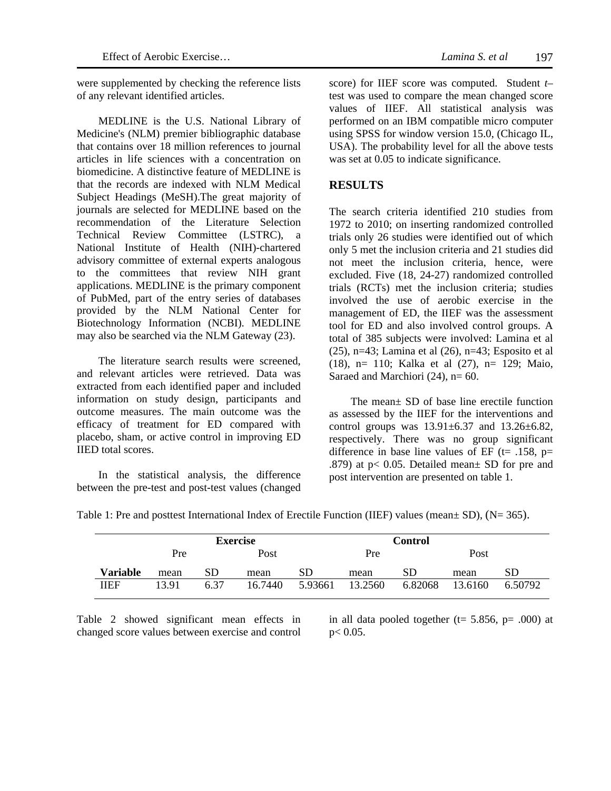were supplemented by checking the reference lists of any relevant identified articles.

MEDLINE is the U.S. National Library of Medicine's (NLM) premier bibliographic database that contains over 18 million references to journal articles in life sciences with a concentration on biomedicine. A distinctive feature of MEDLINE is that the records are indexed with NLM Medical Subject Headings (MeSH).The great majority of journals are selected for MEDLINE based on the recommendation of the Literature Selection Technical Review Committee (LSTRC), a National Institute of Health (NIH)-chartered advisory committee of external experts analogous to the committees that review NIH grant applications. MEDLINE is the primary component of PubMed, part of the entry series of databases provided by the NLM National Center for Biotechnology Information (NCBI). MEDLINE may also be searched via the NLM Gateway (23).

The literature search results were screened, and relevant articles were retrieved. Data was extracted from each identified paper and included information on study design, participants and outcome measures. The main outcome was the efficacy of treatment for ED compared with placebo, sham, or active control in improving ED IIED total scores.

In the statistical analysis, the difference between the pre-test and post-test values (changed

score) for IIEF score was computed. Student *t*– test was used to compare the mean changed score values of IIEF. All statistical analysis was performed on an IBM compatible micro computer using SPSS for window version 15.0, (Chicago IL, USA). The probability level for all the above tests was set at 0.05 to indicate significance.

## **RESULTS**

The search criteria identified 210 studies from 1972 to 2010; on inserting randomized controlled trials only 26 studies were identified out of which only 5 met the inclusion criteria and 21 studies did not meet the inclusion criteria, hence, were excluded. Five (18, 24-27) randomized controlled trials (RCTs) met the inclusion criteria; studies involved the use of aerobic exercise in the management of ED, the IIEF was the assessment tool for ED and also involved control groups. A total of 385 subjects were involved: Lamina et al (25), n=43; Lamina et al (26), n=43; Esposito et al (18), n= 110; Kalka et al (27), n= 129; Maio, Saraed and Marchiori  $(24)$ , n= 60.

The mean± SD of base line erectile function as assessed by the IIEF for the interventions and control groups was  $13.91 \pm 6.37$  and  $13.26 \pm 6.82$ , respectively. There was no group significant difference in base line values of EF ( $t=$  .158,  $p=$ .879) at  $p < 0.05$ . Detailed mean $\pm$  SD for pre and post intervention are presented on table 1.

|                 |       | <b>Exercise</b> |         |         |         | Control |         |         |
|-----------------|-------|-----------------|---------|---------|---------|---------|---------|---------|
|                 | Pre   |                 | Post    |         | Pre     |         | Post    |         |
| <b>Variable</b> | mean  | SD              | mean    | SD      | mean    | SD      | mean    | SD      |
| IIEF            | 13 91 | 637             | 16.7440 | 5.93661 | 13.2560 | 6.82068 | 13.6160 | 6.50792 |

Table 1: Pre and posttest International Index of Erectile Function (IIEF) values (mean ± SD), (N= 365).

Table 2 showed significant mean effects in changed score values between exercise and control

in all data pooled together ( $t= 5.856$ ,  $p= .000$ ) at  $p < 0.05$ .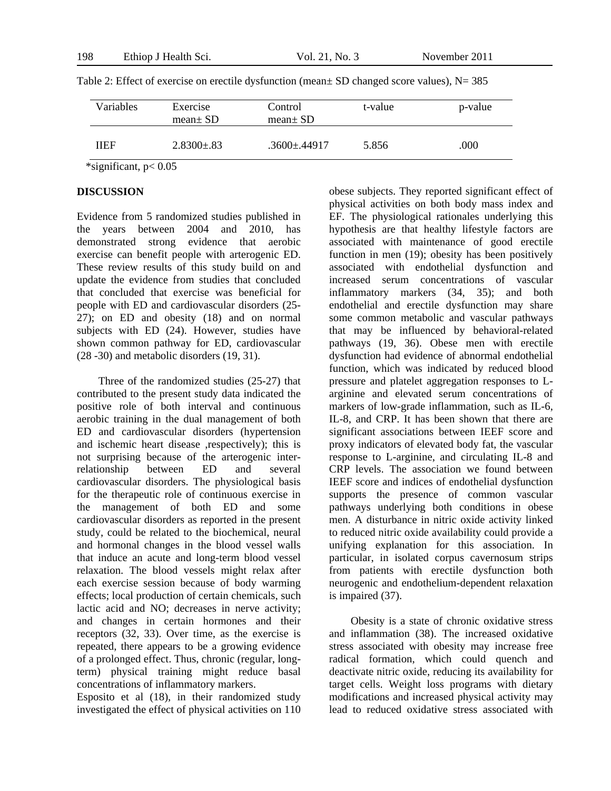| Variables | Exercise<br>$mean \pm SD$ | Control<br>mean $\pm$ SD | t-value | p-value |
|-----------|---------------------------|--------------------------|---------|---------|
| IIEF      | $2.8300 \pm .83$          | $.3600 \pm .44917$       | 5.856   | .000    |

Table 2: Effect of exercise on erectile dysfunction (mean $\pm$  SD changed score values), N= 385

\*significant, p< 0.05

### **DISCUSSION**

Evidence from 5 randomized studies published in the years between 2004 and 2010, has demonstrated strong evidence that aerobic exercise can benefit people with arterogenic ED. These review results of this study build on and update the evidence from studies that concluded that concluded that exercise was beneficial for people with ED and cardiovascular disorders (25- 27); on ED and obesity (18) and on normal subjects with ED (24). However, studies have shown common pathway for ED, cardiovascular (28 -30) and metabolic disorders (19, 31).

Three of the randomized studies (25-27) that contributed to the present study data indicated the positive role of both interval and continuous aerobic training in the dual management of both ED and cardiovascular disorders (hypertension and ischemic heart disease ,respectively); this is not surprising because of the arterogenic interrelationship between ED and several cardiovascular disorders. The physiological basis for the therapeutic role of continuous exercise in the management of both ED and some cardiovascular disorders as reported in the present study, could be related to the biochemical, neural and hormonal changes in the blood vessel walls that induce an acute and long-term blood vessel relaxation. The blood vessels might relax after each exercise session because of body warming effects; local production of certain chemicals, such lactic acid and NO; decreases in nerve activity; and changes in certain hormones and their receptors (32, 33). Over time, as the exercise is repeated, there appears to be a growing evidence of a prolonged effect. Thus, chronic (regular, longterm) physical training might reduce basal concentrations of inflammatory markers.

Esposito et al (18), in their randomized study investigated the effect of physical activities on 110

obese subjects. They reported significant effect of physical activities on both body mass index and EF. The physiological rationales underlying this hypothesis are that healthy lifestyle factors are associated with maintenance of good erectile function in men (19); obesity has been positively associated with endothelial dysfunction and increased serum concentrations of vascular inflammatory markers (34, 35); and both endothelial and erectile dysfunction may share some common metabolic and vascular pathways that may be influenced by behavioral-related pathways (19, 36). Obese men with erectile dysfunction had evidence of abnormal endothelial function, which was indicated by reduced blood pressure and platelet aggregation responses to Larginine and elevated serum concentrations of markers of low-grade inflammation, such as IL-6, IL-8, and CRP. It has been shown that there are significant associations between IEEF score and proxy indicators of elevated body fat, the vascular response to L-arginine, and circulating IL-8 and CRP levels. The association we found between IEEF score and indices of endothelial dysfunction supports the presence of common vascular pathways underlying both conditions in obese men. A disturbance in nitric oxide activity linked to reduced nitric oxide availability could provide a unifying explanation for this association. In particular, in isolated corpus cavernosum strips from patients with erectile dysfunction both neurogenic and endothelium-dependent relaxation is impaired (37).

Obesity is a state of chronic oxidative stress and inflammation (38). The increased oxidative stress associated with obesity may increase free radical formation, which could quench and deactivate nitric oxide, reducing its availability for target cells. Weight loss programs with dietary modifications and increased physical activity may lead to reduced oxidative stress associated with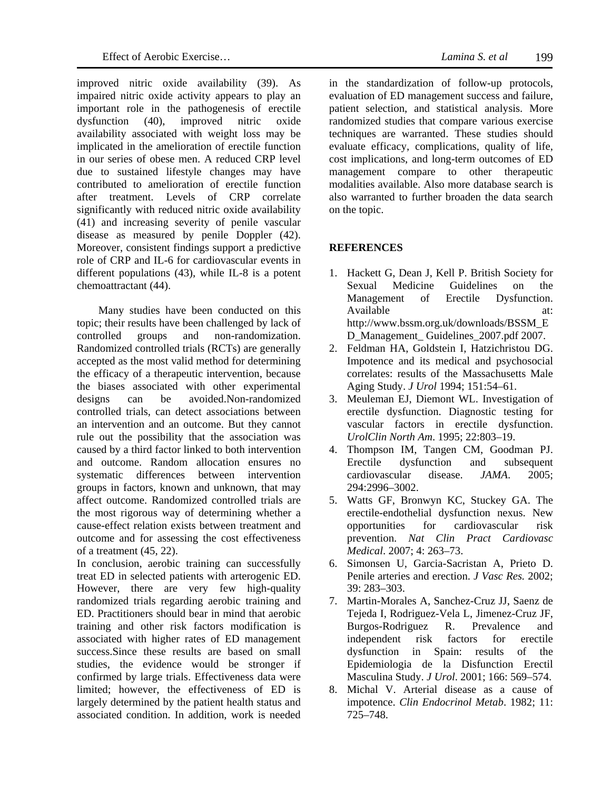improved nitric oxide availability (39). As impaired nitric oxide activity appears to play an important role in the pathogenesis of erectile dysfunction (40), improved nitric oxide availability associated with weight loss may be implicated in the amelioration of erectile function in our series of obese men. A reduced CRP level due to sustained lifestyle changes may have contributed to amelioration of erectile function after treatment. Levels of CRP correlate significantly with reduced nitric oxide availability (41) and increasing severity of penile vascular disease as measured by penile Doppler (42). Moreover, consistent findings support a predictive role of CRP and IL-6 for cardiovascular events in different populations (43), while IL-8 is a potent chemoattractant (44).

Many studies have been conducted on this topic; their results have been challenged by lack of controlled groups and non-randomization. Randomized controlled trials (RCTs) are generally accepted as the most valid method for determining the efficacy of a therapeutic intervention, because the biases associated with other experimental designs can be avoided.Non-randomized controlled trials, can detect associations between an intervention and an outcome. But they cannot rule out the possibility that the association was caused by a third factor linked to both intervention and outcome. Random allocation ensures no systematic differences between intervention groups in factors, known and unknown, that may affect outcome. Randomized controlled trials are the most rigorous way of determining whether a cause-effect relation exists between treatment and outcome and for assessing the cost effectiveness of a treatment (45, 22).

In conclusion, aerobic training can successfully treat ED in selected patients with arterogenic ED. However, there are very few high-quality randomized trials regarding aerobic training and ED. Practitioners should bear in mind that aerobic training and other risk factors modification is associated with higher rates of ED management success.Since these results are based on small studies, the evidence would be stronger if confirmed by large trials. Effectiveness data were limited; however, the effectiveness of ED is largely determined by the patient health status and associated condition. In addition, work is needed

in the standardization of follow-up protocols, evaluation of ED management success and failure, patient selection, and statistical analysis. More randomized studies that compare various exercise techniques are warranted. These studies should evaluate efficacy, complications, quality of life, cost implications, and long-term outcomes of ED management compare to other therapeutic modalities available. Also more database search is also warranted to further broaden the data search on the topic.

## **REFERENCES**

- 1. Hackett G, Dean J, Kell P. British Society for Sexual Medicine Guidelines on the Management of Erectile Dysfunction. Available at: http://www.bssm.org.uk/downloads/BSSM\_E D\_Management\_ Guidelines\_2007.pdf 2007.
- 2. Feldman HA, Goldstein I, Hatzichristou DG. Impotence and its medical and psychosocial correlates: results of the Massachusetts Male Aging Study. *J Urol* 1994; 151:54–61.
- 3. Meuleman EJ, Diemont WL. Investigation of erectile dysfunction. Diagnostic testing for vascular factors in erectile dysfunction. *UrolClin North Am*. 1995; 22:803–19.
- 4. Thompson IM, Tangen CM, Goodman PJ. Erectile dysfunction and subsequent cardiovascular disease. *JAMA*. 2005; 294:2996–3002.
- 5. Watts GF, Bronwyn KC, Stuckey GA. The erectile-endothelial dysfunction nexus. New opportunities for cardiovascular risk prevention. *Nat Clin Pract Cardiovasc Medical*. 2007; 4: 263–73.
- 6. Simonsen U, Garcia-Sacristan A, Prieto D. Penile arteries and erection. *J Vasc Res.* 2002; 39: 283–303.
- 7. Martin-Morales A, Sanchez-Cruz JJ, Saenz de Tejeda I, Rodriguez-Vela L, Jimenez-Cruz JF, Burgos-Rodriguez R. Prevalence and independent risk factors for erectile dysfunction in Spain: results of the Epidemiologia de la Disfunction Erectil Masculina Study. *J Urol*. 2001; 166: 569–574.
- 8. Michal V. Arterial disease as a cause of impotence. *Clin Endocrinol Metab*. 1982; 11: 725–748.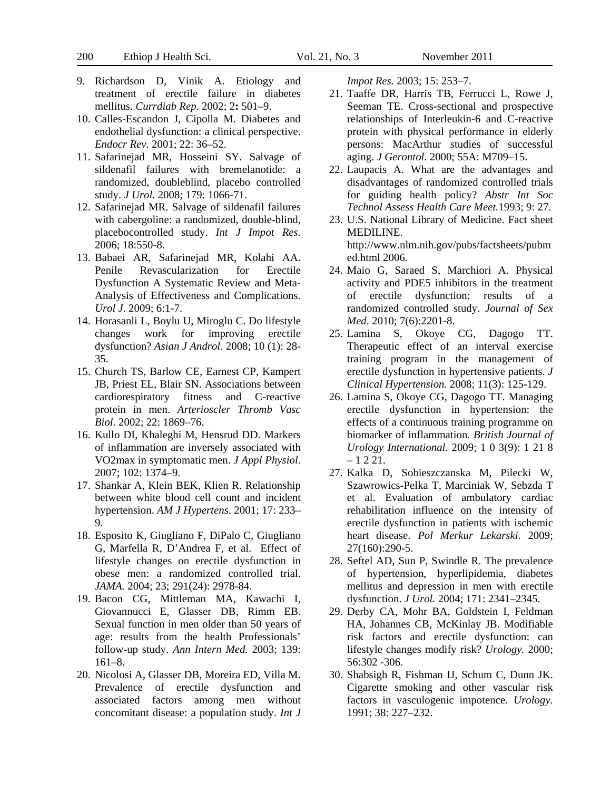200 Ethiop J Health Sci. Vol. 21, No. 3 November 2011

- 9. Richardson D, Vinik A. Etiology and treatment of erectile failure in diabetes mellitus. *Currdiab Rep.* 2002; 2**:** 501–9.
- 10. Calles-Escandon J, Cipolla M. Diabetes and endothelial dysfunction: a clinical perspective. *Endocr Rev*. 2001; 22: 36–52.
- 11. Safarinejad MR, Hosseini SY. Salvage of sildenafil failures with bremelanotide: a randomized, doubleblind, placebo controlled study. *J Urol.* 2008; 179: 1066-71.
- 12. Safarinejad MR. Salvage of sildenafil failures with cabergoline: a randomized, double-blind, placebocontrolled study. *Int J Impot Res.* 2006; 18:550-8.
- 13. Babaei AR, Safarinejad MR, Kolahi AA. Penile Revascularization for Erectile Dysfunction A Systematic Review and Meta-Analysis of Effectiveness and Complications. *Urol J*. 2009; 6:1-7.
- 14. Horasanli L, Boylu U, Miroglu C. Do lifestyle changes work for improving erectile dysfunction? *Asian J Androl.* 2008; 10 (1): 28- 35.
- 15. Church TS, Barlow CE, Earnest CP, Kampert JB, Priest EL, Blair SN. Associations between cardiorespiratory fitness and C-reactive protein in men. *Arterioscler Thromb Vasc Biol.* 2002; 22: 1869–76.
- 16. Kullo DI, Khaleghi M, Hensrud DD. Markers of inflammation are inversely associated with VO2max in symptomatic men. *J Appl Physiol*. 2007; 102: 1374–9.
- 17. Shankar A, Klein BEK, Klien R. Relationship between white blood cell count and incident hypertension. *AM J Hypertens*. 2001; 17: 233– 9.
- 18. Esposito K, Giugliano F, DiPalo C, Giugliano G, Marfella R, D'Andrea F, et al. Effect of lifestyle changes on erectile dysfunction in obese men: a randomized controlled trial. *JAMA.* 2004; 23; 291(24): 2978-84.
- 19. Bacon CG, Mittleman MA, Kawachi I, Giovannucci E, Glasser DB, Rimm EB. Sexual function in men older than 50 years of age: results from the health Professionals' follow-up study. *Ann Intern Med.* 2003; 139: 161–8.
- 20. Nicolosi A, Glasser DB, Moreira ED, Villa M. Prevalence of erectile dysfunction and associated factors among men without concomitant disease: a population study. *Int J*

*Impot Res.* 2003; 15: 253–7.

- 21. Taaffe DR, Harris TB, Ferrucci L, Rowe J, Seeman TE. Cross-sectional and prospective relationships of Interleukin-6 and C-reactive protein with physical performance in elderly persons: MacArthur studies of successful aging. *J Gerontol*. 2000; 55A: M709–15.
- 22. Laupacis A. What are the advantages and disadvantages of randomized controlled trials for guiding health policy? *Abstr Int Soc Technol Assess Health Care Meet.*1993; 9: 27.
- 23. U.S. National Library of Medicine. Fact sheet MEDILINE. http://www.nlm.nih.gov/pubs/factsheets/pubm ed.html 2006.
- 24. Maio G, Saraed S, Marchiori A. Physical activity and PDE5 inhibitors in the treatment of erectile dysfunction: results of a randomized controlled study. *Journal of Sex Med*. 2010; 7(6):2201-8.
- 25. Lamina S, Okoye CG, Dagogo TT. Therapeutic effect of an interval exercise training program in the management of erectile dysfunction in hypertensive patients. *J Clinical Hypertension.* 2008; 11(3): 125-129.
- 26. Lamina S, Okoye CG, Dagogo TT. Managing erectile dysfunction in hypertension: the effects of a continuous training programme on biomarker of inflammation. *British Journal of Urology International.* 2009; 1 0 3(9): 1 21 8  $-1221$ .
- 27. Kalka D, Sobieszczanska M, Pilecki W, Szawrowics-Pelka T, Marciniak W, Sebzda T et al. Evaluation of ambulatory cardiac rehabilitation influence on the intensity of erectile dysfunction in patients with ischemic heart disease. *Pol Merkur Lekarski*. 2009; 27(160):290-5.
- 28. Seftel AD, Sun P, Swindle R. The prevalence of hypertension, hyperlipidemia, diabetes mellitus and depression in men with erectile dysfunction. *J Urol.* 2004; 171: 2341–2345.
- 29. Derby CA, Mohr BA, Goldstein I, Feldman HA, Johannes CB, McKinlay JB. Modifiable risk factors and erectile dysfunction: can lifestyle changes modify risk? *Urology.* 2000; 56:302 -306.
- 30. Shabsigh R, Fishman IJ, Schum C, Dunn JK. Cigarette smoking and other vascular risk factors in vasculogenic impotence. *Urology.* 1991; 38: 227–232.